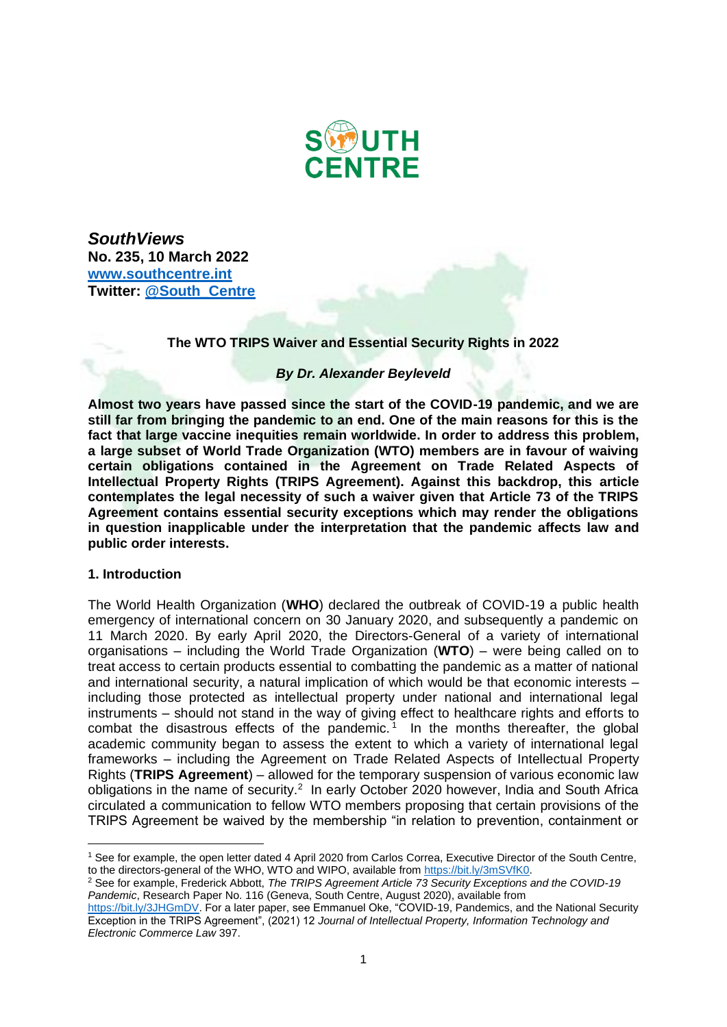

*SouthViews* **No. 235, 10 March 2022 [www.southcentre.int](http://www.southcentre.int/) Twitter: [@South\\_Centre](https://twitter.com/South_Centre)**

## **The WTO TRIPS Waiver and Essential Security Rights in 2022**

## *By Dr. Alexander Beyleveld*

**Almost two years have passed since the start of the COVID-19 pandemic, and we are still far from bringing the pandemic to an end. One of the main reasons for this is the fact that large vaccine inequities remain worldwide. In order to address this problem, a large subset of World Trade Organization (WTO) members are in favour of waiving certain obligations contained in the Agreement on Trade Related Aspects of Intellectual Property Rights (TRIPS Agreement). Against this backdrop, this article contemplates the legal necessity of such a waiver given that Article 73 of the TRIPS Agreement contains essential security exceptions which may render the obligations in question inapplicable under the interpretation that the pandemic affects law and public order interests.**

### **1. Introduction**

The World Health Organization (**WHO**) declared the outbreak of COVID-19 a public health emergency of international concern on 30 January 2020, and subsequently a pandemic on 11 March 2020. By early April 2020, the Directors-General of a variety of international organisations – including the World Trade Organization (**WTO**) – were being called on to treat access to certain products essential to combatting the pandemic as a matter of national and international security, a natural implication of which would be that economic interests – including those protected as intellectual property under national and international legal instruments – should not stand in the way of giving effect to healthcare rights and efforts to combat the disastrous effects of the pandemic.<sup>1</sup> In the months thereafter, the global academic community began to assess the extent to which a variety of international legal frameworks – including the Agreement on Trade Related Aspects of Intellectual Property Rights (**TRIPS Agreement**) – allowed for the temporary suspension of various economic law obligations in the name of security.<sup>2</sup> In early October 2020 however, India and South Africa circulated a communication to fellow WTO members proposing that certain provisions of the TRIPS Agreement be waived by the membership "in relation to prevention, containment or

<sup>1</sup> See for example, the open letter dated 4 April 2020 from Carlos Correa, Executive Director of the South Centre, to the directors-general of the WHO, WTO and WIPO, available from [https://bit.ly/3mSVfK0.](https://bit.ly/3mSVfK0)

<sup>2</sup> See for example, Frederick Abbott, *The TRIPS Agreement Article 73 Security Exceptions and the COVID-19 Pandemic*, Research Paper No. 116 (Geneva, South Centre, August 2020), available from

[https://bit.ly/3JHGmDV.](https://bit.ly/3JHGmDV) For a later paper, see Emmanuel Oke, "COVID-19, Pandemics, and the National Security Exception in the TRIPS Agreement", (2021) 12 *Journal of Intellectual Property, Information Technology and Electronic Commerce Law* 397.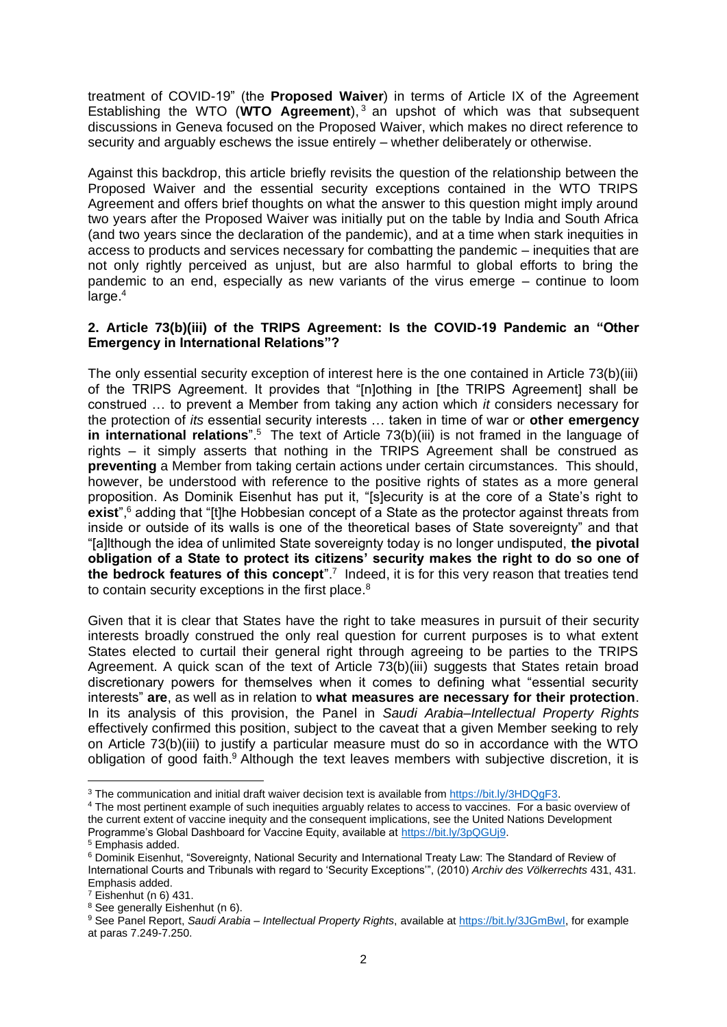treatment of COVID-19" (the **Proposed Waiver**) in terms of Article IX of the Agreement Establishing the WTO (**WTO Agreement**), <sup>3</sup> an upshot of which was that subsequent discussions in Geneva focused on the Proposed Waiver, which makes no direct reference to security and arguably eschews the issue entirely – whether deliberately or otherwise.

Against this backdrop, this article briefly revisits the question of the relationship between the Proposed Waiver and the essential security exceptions contained in the WTO TRIPS Agreement and offers brief thoughts on what the answer to this question might imply around two years after the Proposed Waiver was initially put on the table by India and South Africa (and two years since the declaration of the pandemic), and at a time when stark inequities in access to products and services necessary for combatting the pandemic – inequities that are not only rightly perceived as unjust, but are also harmful to global efforts to bring the pandemic to an end, especially as new variants of the virus emerge – continue to loom  $l$ arge. $4$ 

# **2. Article 73(b)(iii) of the TRIPS Agreement: Is the COVID-19 Pandemic an "Other Emergency in International Relations"?**

The only essential security exception of interest here is the one contained in Article 73(b)(iii) of the TRIPS Agreement. It provides that "[n]othing in [the TRIPS Agreement] shall be construed … to prevent a Member from taking any action which *it* considers necessary for the protection of *its* essential security interests … taken in time of war or **other emergency**  in international relations".<sup>5</sup> The text of Article 73(b)(iii) is not framed in the language of rights – it simply asserts that nothing in the TRIPS Agreement shall be construed as **preventing** a Member from taking certain actions under certain circumstances. This should, however, be understood with reference to the positive rights of states as a more general proposition. As Dominik Eisenhut has put it, "[s]ecurity is at the core of a State's right to exist",<sup>6</sup> adding that "[t]he Hobbesian concept of a State as the protector against threats from inside or outside of its walls is one of the theoretical bases of State sovereignty" and that "[a]lthough the idea of unlimited State sovereignty today is no longer undisputed, **the pivotal obligation of a State to protect its citizens' security makes the right to do so one of**  the bedrock features of this concept".<sup>7</sup> Indeed, it is for this very reason that treaties tend to contain security exceptions in the first place.<sup>8</sup>

Given that it is clear that States have the right to take measures in pursuit of their security interests broadly construed the only real question for current purposes is to what extent States elected to curtail their general right through agreeing to be parties to the TRIPS Agreement. A quick scan of the text of Article 73(b)(iii) suggests that States retain broad discretionary powers for themselves when it comes to defining what "essential security interests" **are**, as well as in relation to **what measures are necessary for their protection**. In its analysis of this provision, the Panel in *Saudi Arabia–Intellectual Property Rights* effectively confirmed this position, subject to the caveat that a given Member seeking to rely on Article 73(b)(iii) to justify a particular measure must do so in accordance with the WTO obligation of good faith.<sup>9</sup> Although the text leaves members with subjective discretion, it is

<sup>3</sup> The communication and initial draft waiver decision text is available from [https://bit.ly/3HDQgF3.](https://bit.ly/3HDQgF3)

<sup>4</sup> The most pertinent example of such inequities arguably relates to access to vaccines. For a basic overview of the current extent of vaccine inequity and the consequent implications, see the United Nations Development Programme's Global Dashboard for Vaccine Equity, available at [https://bit.ly/3pQGUj9.](https://bit.ly/3pQGUj9)

<sup>5</sup> Emphasis added.

<sup>6</sup> Dominik Eisenhut, "Sovereignty, National Security and International Treaty Law: The Standard of Review of International Courts and Tribunals with regard to 'Security Exceptions'", (2010) *Archiv des Völkerrechts* 431, 431. Emphasis added.

 $7$  Eishenhut (n 6) 431.

<sup>8</sup> See generally Eishenhut (n 6).

<sup>9</sup> See Panel Report, *Saudi Arabia – Intellectual Property Rights*, available at [https://bit.ly/3JGmBwI,](https://bit.ly/3JGmBwI) for example at paras 7.249-7.250.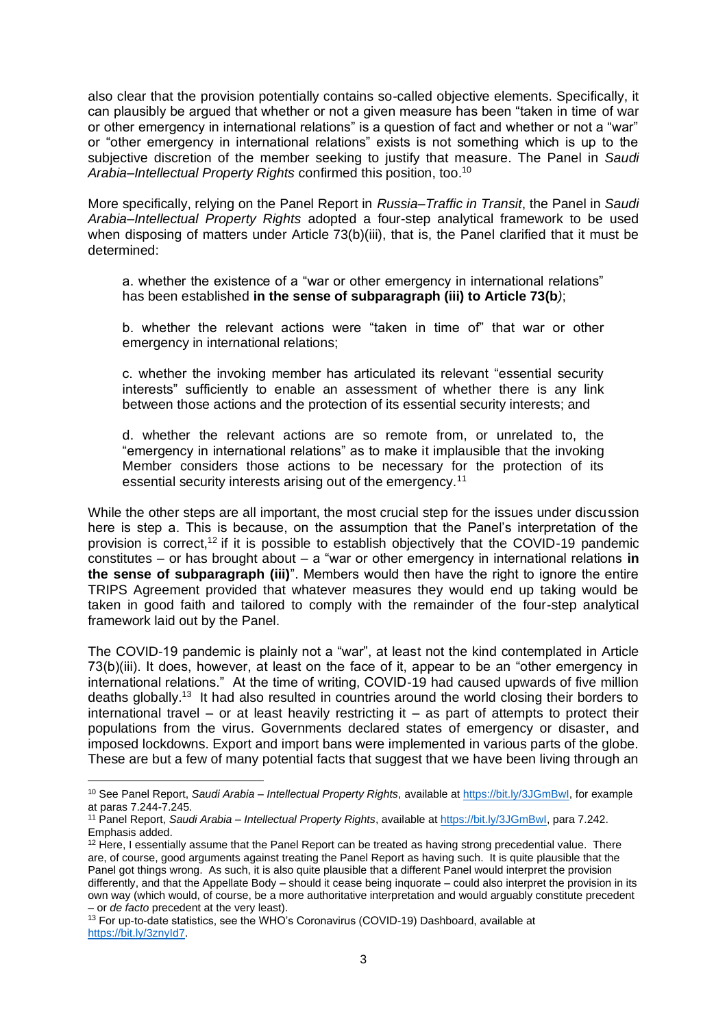also clear that the provision potentially contains so-called objective elements. Specifically, it can plausibly be argued that whether or not a given measure has been "taken in time of war or other emergency in international relations" is a question of fact and whether or not a "war" or "other emergency in international relations" exists is not something which is up to the subjective discretion of the member seeking to justify that measure. The Panel in *Saudi Arabia–Intellectual Property Rights* confirmed this position, too.<sup>10</sup>

More specifically, relying on the Panel Report in *Russia–Traffic in Transit*, the Panel in *Saudi Arabia–Intellectual Property Rights* adopted a four-step analytical framework to be used when disposing of matters under Article 73(b)(iii), that is, the Panel clarified that it must be determined:

a. whether the existence of a "war or other emergency in international relations" has been established **in the sense of subparagraph (iii) to Article 73(b***)*;

b. whether the relevant actions were "taken in time of" that war or other emergency in international relations;

c. whether the invoking member has articulated its relevant "essential security interests" sufficiently to enable an assessment of whether there is any link between those actions and the protection of its essential security interests; and

d. whether the relevant actions are so remote from, or unrelated to, the "emergency in international relations" as to make it implausible that the invoking Member considers those actions to be necessary for the protection of its essential security interests arising out of the emergency.<sup>11</sup>

While the other steps are all important, the most crucial step for the issues under discussion here is step a. This is because, on the assumption that the Panel's interpretation of the provision is correct,<sup>12</sup> if it is possible to establish objectively that the COVID-19 pandemic constitutes – or has brought about – a "war or other emergency in international relations **in the sense of subparagraph (iii)**". Members would then have the right to ignore the entire TRIPS Agreement provided that whatever measures they would end up taking would be taken in good faith and tailored to comply with the remainder of the four-step analytical framework laid out by the Panel.

The COVID-19 pandemic is plainly not a "war", at least not the kind contemplated in Article 73(b)(iii). It does, however, at least on the face of it, appear to be an "other emergency in international relations." At the time of writing, COVID-19 had caused upwards of five million deaths globally.<sup>13</sup> It had also resulted in countries around the world closing their borders to international travel – or at least heavily restricting it – as part of attempts to protect their populations from the virus. Governments declared states of emergency or disaster, and imposed lockdowns. Export and import bans were implemented in various parts of the globe. These are but a few of many potential facts that suggest that we have been living through an

<sup>10</sup> See Panel Report, *Saudi Arabia – Intellectual Property Rights*, available at [https://bit.ly/3JGmBwI,](https://bit.ly/3JGmBwI) for example at paras 7.244-7.245.

<sup>11</sup> Panel Report, *Saudi Arabia – Intellectual Property Rights*, available at [https://bit.ly/3JGmBwI,](https://bit.ly/3JGmBwI) para 7.242. Emphasis added.

<sup>&</sup>lt;sup>12</sup> Here, I essentially assume that the Panel Report can be treated as having strong precedential value. There are, of course, good arguments against treating the Panel Report as having such. It is quite plausible that the Panel got things wrong. As such, it is also quite plausible that a different Panel would interpret the provision differently, and that the Appellate Body – should it cease being inquorate – could also interpret the provision in its own way (which would, of course, be a more authoritative interpretation and would arguably constitute precedent – or *de facto* precedent at the very least).

<sup>13</sup> For up-to-date statistics, see the WHO's Coronavirus (COVID-19) Dashboard, available at [https://bit.ly/3znyId7.](https://bit.ly/3znyId7)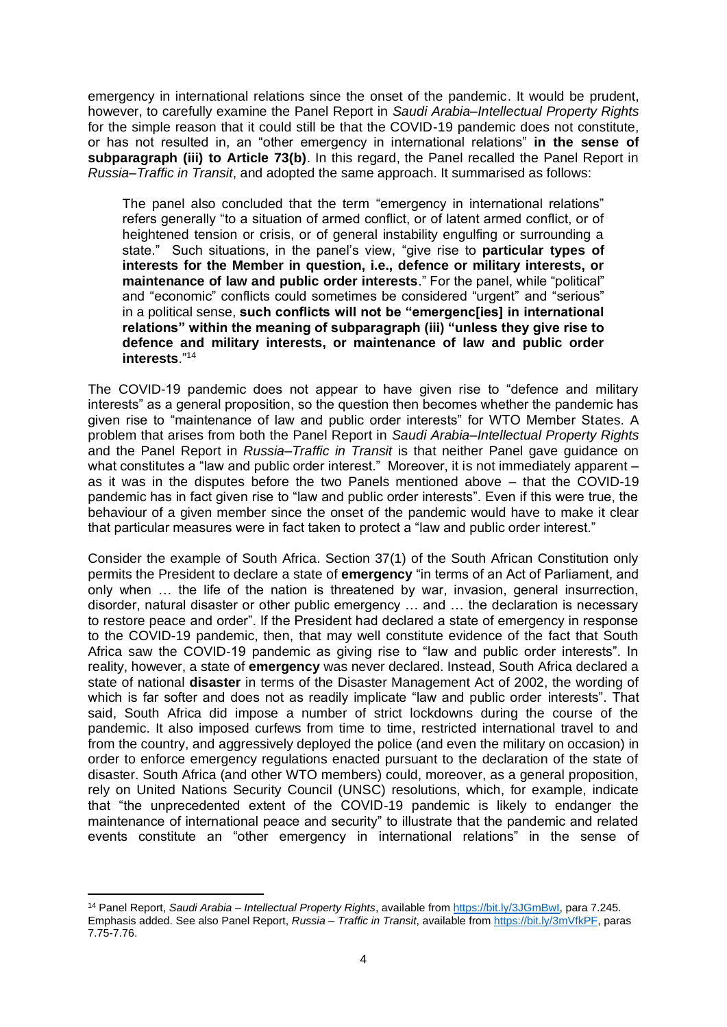emergency in international relations since the onset of the pandemic. It would be prudent, however, to carefully examine the Panel Report in *Saudi Arabia–Intellectual Property Rights* for the simple reason that it could still be that the COVID-19 pandemic does not constitute, or has not resulted in, an "other emergency in international relations" **in the sense of subparagraph (iii) to Article 73(b)**. In this regard, the Panel recalled the Panel Report in *Russia–Traffic in Transit*, and adopted the same approach. It summarised as follows:

The panel also concluded that the term "emergency in international relations" refers generally "to a situation of armed conflict, or of latent armed conflict, or of heightened tension or crisis, or of general instability engulfing or surrounding a state." Such situations, in the panel's view, "give rise to **particular types of interests for the Member in question, i.e., defence or military interests, or maintenance of law and public order interests**." For the panel, while "political" and "economic" conflicts could sometimes be considered "urgent" and "serious" in a political sense, **such conflicts will not be "emergenc[ies] in international relations" within the meaning of subparagraph (iii) "unless they give rise to defence and military interests, or maintenance of law and public order interests**."<sup>14</sup>

The COVID-19 pandemic does not appear to have given rise to "defence and military interests" as a general proposition, so the question then becomes whether the pandemic has given rise to "maintenance of law and public order interests" for WTO Member States. A problem that arises from both the Panel Report in *Saudi Arabia–Intellectual Property Rights* and the Panel Report in *Russia–Traffic in Transit* is that neither Panel gave guidance on what constitutes a "law and public order interest." Moreover, it is not immediately apparent – as it was in the disputes before the two Panels mentioned above – that the COVID-19 pandemic has in fact given rise to "law and public order interests". Even if this were true, the behaviour of a given member since the onset of the pandemic would have to make it clear that particular measures were in fact taken to protect a "law and public order interest."

Consider the example of South Africa. Section 37(1) of the South African Constitution only permits the President to declare a state of **emergency** "in terms of an Act of Parliament, and only when … the life of the nation is threatened by war, invasion, general insurrection, disorder, natural disaster or other public emergency … and … the declaration is necessary to restore peace and order". If the President had declared a state of emergency in response to the COVID-19 pandemic, then, that may well constitute evidence of the fact that South Africa saw the COVID-19 pandemic as giving rise to "law and public order interests". In reality, however, a state of **emergency** was never declared. Instead, South Africa declared a state of national **disaster** in terms of the Disaster Management Act of 2002, the wording of which is far softer and does not as readily implicate "law and public order interests". That said, South Africa did impose a number of strict lockdowns during the course of the pandemic. It also imposed curfews from time to time, restricted international travel to and from the country, and aggressively deployed the police (and even the military on occasion) in order to enforce emergency regulations enacted pursuant to the declaration of the state of disaster. South Africa (and other WTO members) could, moreover, as a general proposition, rely on United Nations Security Council (UNSC) resolutions, which, for example, indicate that "the unprecedented extent of the COVID-19 pandemic is likely to endanger the maintenance of international peace and security" to illustrate that the pandemic and related events constitute an "other emergency in international relations" in the sense of

<sup>14</sup> Panel Report, *Saudi Arabia – Intellectual Property Rights*, available from [https://bit.ly/3JGmBwI,](https://bit.ly/3JGmBwI) para 7.245. Emphasis added. See also Panel Report, *Russia – Traffic in Transit*, available from [https://bit.ly/3mVfkPF,](https://bit.ly/3mVfkPF) paras 7.75-7.76.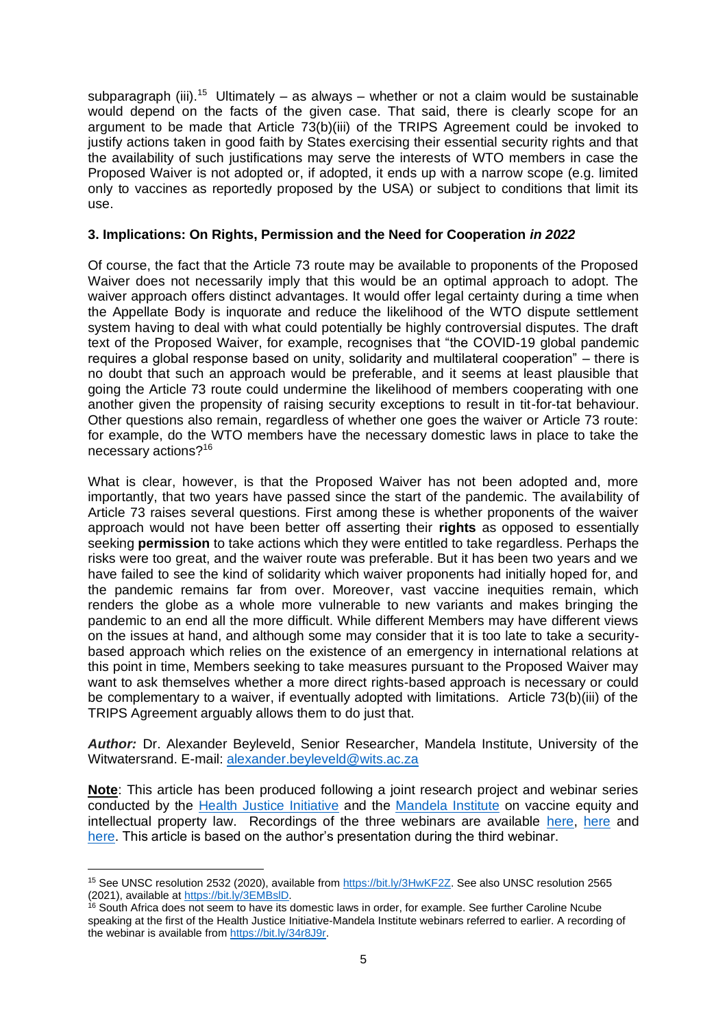subparagraph (iii).<sup>15</sup> Ultimately – as always – whether or not a claim would be sustainable would depend on the facts of the given case. That said, there is clearly scope for an argument to be made that Article 73(b)(iii) of the TRIPS Agreement could be invoked to justify actions taken in good faith by States exercising their essential security rights and that the availability of such justifications may serve the interests of WTO members in case the Proposed Waiver is not adopted or, if adopted, it ends up with a narrow scope (e.g. limited only to vaccines as reportedly proposed by the USA) or subject to conditions that limit its use.

# **3. Implications: On Rights, Permission and the Need for Cooperation** *in 2022*

Of course, the fact that the Article 73 route may be available to proponents of the Proposed Waiver does not necessarily imply that this would be an optimal approach to adopt. The waiver approach offers distinct advantages. It would offer legal certainty during a time when the Appellate Body is inquorate and reduce the likelihood of the WTO dispute settlement system having to deal with what could potentially be highly controversial disputes. The draft text of the Proposed Waiver, for example, recognises that "the COVID-19 global pandemic requires a global response based on unity, solidarity and multilateral cooperation" – there is no doubt that such an approach would be preferable, and it seems at least plausible that going the Article 73 route could undermine the likelihood of members cooperating with one another given the propensity of raising security exceptions to result in tit-for-tat behaviour. Other questions also remain, regardless of whether one goes the waiver or Article 73 route: for example, do the WTO members have the necessary domestic laws in place to take the necessary actions?<sup>16</sup>

What is clear, however, is that the Proposed Waiver has not been adopted and, more importantly, that two years have passed since the start of the pandemic. The availability of Article 73 raises several questions. First among these is whether proponents of the waiver approach would not have been better off asserting their **rights** as opposed to essentially seeking **permission** to take actions which they were entitled to take regardless. Perhaps the risks were too great, and the waiver route was preferable. But it has been two years and we have failed to see the kind of solidarity which waiver proponents had initially hoped for, and the pandemic remains far from over. Moreover, vast vaccine inequities remain, which renders the globe as a whole more vulnerable to new variants and makes bringing the pandemic to an end all the more difficult. While different Members may have different views on the issues at hand, and although some may consider that it is too late to take a securitybased approach which relies on the existence of an emergency in international relations at this point in time, Members seeking to take measures pursuant to the Proposed Waiver may want to ask themselves whether a more direct rights-based approach is necessary or could be complementary to a waiver, if eventually adopted with limitations. Article 73(b)(iii) of the TRIPS Agreement arguably allows them to do just that.

*Author:* Dr. Alexander Beyleveld, Senior Researcher, Mandela Institute, University of the Witwatersrand. E-mail: [alexander.beyleveld@wits.ac.za](mailto:alexander.beyleveld@wits.ac.za)

**Note**: This article has been produced following a joint research project and webinar series conducted by the [Health Justice Initiative](https://healthjusticeinitiative.org.za/) and the [Mandela Institute](https://www.wits.ac.za/mandelainstitute/) on vaccine equity and intellectual property law. Recordings of the three webinars are available [here,](https://www.youtube.com/watch?v=I8dt0T3s-3M) [here](https://www.youtube.com/watch?v=m8-J9UhILMk) and [here.](https://www.youtube.com/watch?v=j3uQK-sdB4Y) This article is based on the author's presentation during the third webinar.

<sup>15</sup> See UNSC resolution 2532 (2020), available from [https://bit.ly/3HwKF2Z.](https://bit.ly/3HwKF2Z) See also UNSC resolution 2565 (2021), available at [https://bit.ly/3EMBslD.](https://bit.ly/3EMBslD)

<sup>16</sup> South Africa does not seem to have its domestic laws in order, for example. See further Caroline Ncube speaking at the first of the Health Justice Initiative-Mandela Institute webinars referred to earlier. A recording of the webinar is available fro[m https://bit.ly/34r8J9r.](https://bit.ly/34r8J9r)